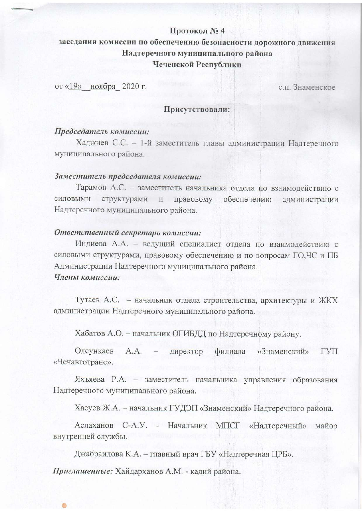# Протокол №4

# заседания комиссии по обеспечению безопасности дорожного движения Надтеречного муниципального района Чеченской Республики

от «19» ноября 2020 г.

с.п. Знаменское

#### Присутствовали:

## Председатель комиссии:

Хаджиев С.С. - 1-й заместитель главы администрации Надтеречного муниципального района.

#### Заместитель председателя комиссии:

Тарамов А.С. - заместитель начальника отдела по взаимодействию с силовыми структурами и правовому обеспечению администрации Надтеречного муниципального района.

#### Ответственный секретарь комиссии:

Индиева А.А. - ведущий специалист отдела по взаимодействию с силовыми структурами, правовому обеспечению и по вопросам ГО, ЧС и ПБ Администрации Надтеречного муниципального района. Члены комиссии:

Тутаев А.С. - начальник отдела строительства, архитектуры и ЖКХ администрации Надтеречного муниципального района.

Хабатов А.О. - начальник ОГИБДД по Надтеречному району.

Олсункаев  $A.A.$ директор филиала «Знаменский» **TVIT** «Чечавтотранс».

Яхъяева Р.А. - заместитель начальника управления образования Надтеречного муниципального района.

Хасуев Ж.А. - начальник ГУДЭП «Знаменский» Надтеречного района.

Аслаханов С-А.У. - Начальник МПСГ «Надтеречный» майор внутренней службы.

Джабраилова К.А. - главный врач ГБУ «Надтеречная ЦРБ».

Приглашенные: Хайдарханов А.М. - кадий района.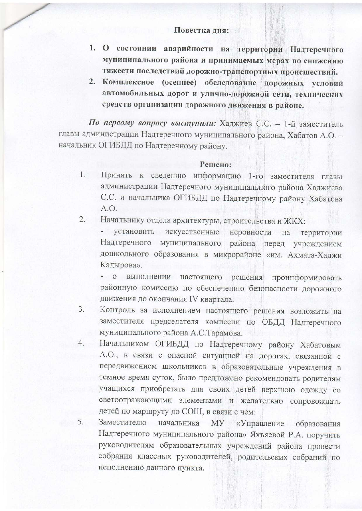### Повестка дня:

- 1. О состоянии аварийности на территории Надтеречного муниципального района и принимаемых мерах по снижению тяжести последствий дорожно-транспортных происшествий.
- 2. Комплексное (осеннее) обследование дорожных условий автомобильных дорог и улично-дорожной сети, технических средств организации дорожного движения в районе.

По первому вопросу выступили: Хаджиев С.С. - 1-й заместитель главы администрации Надтеречного муниципального района, Хабатов А.О. начальник ОГИБДД по Надтеречному району.

#### Решено:

Принять к сведению информацию 1-го заместителя главы 1. администрации Надтеречного муниципального района Хаджиева С.С. и начальника ОГИБДД по Надтеречному району Хабатова  $A.O.$ 

Начальнику отдела архитектуры, строительства и ЖКХ:  $2.$ 

- установить искусственные неровности на территории Надтеречного муниципального района перед учреждением дошкольного образования в микрорайоне «им. Ахмата-Хаджи Кадырова».

- о выполнении настоящего решения проинформировать районную комиссию по обеспечению безопасности дорожного движения до окончания IV квартала.

- Контроль за исполнением настоящего решения возложить на  $3.$ заместителя председателя комиссии по ОБДД Надтеречного муниципального района А.С.Тарамова.
- Начальником ОГИБДД по Надтеречному району Хабатовым 4. А.О., в связи с опасной ситуацией на дорогах, связанной с передвижением школьников в образовательные учреждения в темное время суток, было предложено рекомендовать родителям учащихся приобретать для своих детей верхнюю одежду со светоотражающими элементами и желательно сопровождать детей по маршруту до СОШ, в связи с чем:
- Заместителю начальника МУ «Управление образования 5. Надтеречного муниципального района» Яхъяевой Р.А. поручить руководителям образовательных учреждений района провести собрания классных руководителей, родительских собраний по исполнению данного пункта.